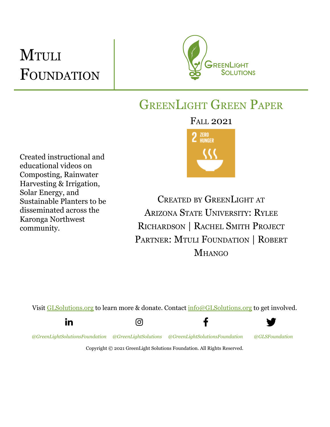# **MTULI** FOUNDATION



## GREENLIGHT GREEN PAPER

FALL 2021

ZERO **HUNGER** 

Created instructional and educational videos on Composting, Rainwater Harvesting & Irrigation, Solar Energy, and Sustainable Planters to be disseminated across the Karonga Northwest community.

CREATED BY GREENLIGHT AT ARIZONA STATE UNIVERSITY: RYLEE RICHARDSON | RACHEL SMITH PROJECT PARTNER: MTULI FOUNDATION | ROBERT **MHANGO** 

f

Visit [GLSolutions.org](https://www.glsolutions.org/) to learn more & donate. Contact  $\frac{info@GLSolutions.org}{info@GLSolutions.org}$  $\frac{info@GLSolutions.org}{info@GLSolutions.org}$  $\frac{info@GLSolutions.org}{info@GLSolutions.org}$  to get involved.









*[@GreenLightSolutionsFoundation](https://www.linkedin.com/company/10571635) [@GreenLightSolutions](https://www.instagram.com/greenlightsolutions/) [@GreenLightSolutionsFoundation](https://www.facebook.com/GreenLightSolutionsFoundation/) [@GLSFoundation](https://twitter.com/GLSFoundation)*

Copyright © 2021 GreenLight Solutions Foundation. All Rights Reserved.